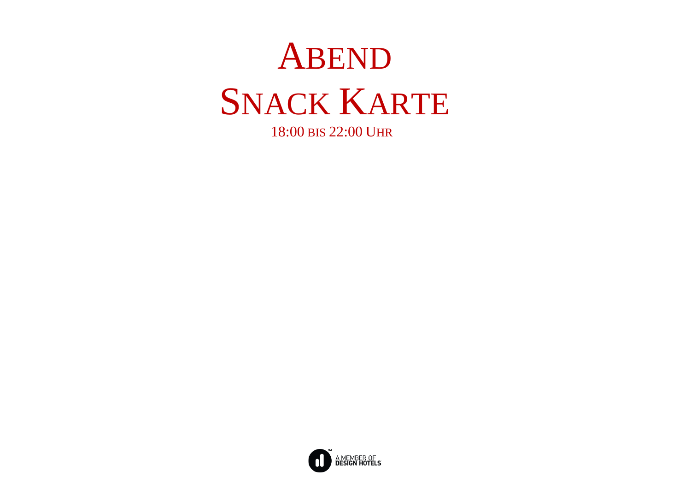

18:00 BIS 22:00 UHR

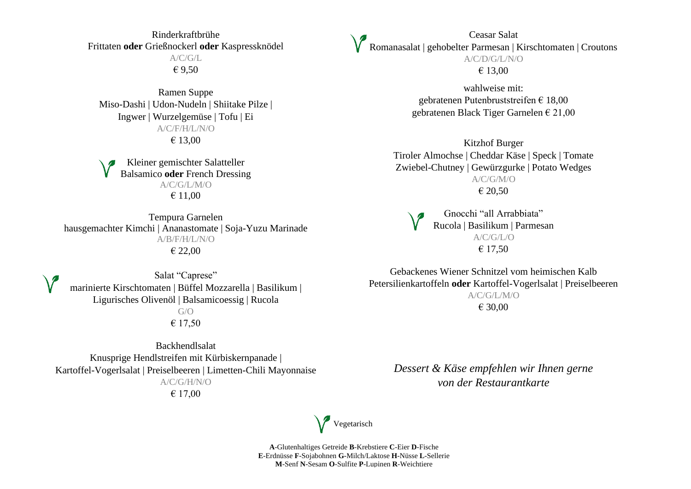Rinderkraftbrühe Frittaten **oder** Grießnockerl **oder** Kaspressknödel  $A/C/G/L$ € 9,50

Ramen Suppe Miso-Dashi | Udon-Nudeln | Shiitake Pilze | Ingwer | Wurzelgemüse | Tofu | Ei A/C/F/H/L/N/O € 13,00

Kleiner gemischter Salatteller Balsamico **oder** French Dressing A/C/G/L/M/O € 11,00

Tempura Garnelen hausgemachter Kimchi | Ananastomate | Soja-Yuzu Marinade A/B/F/H/L/N/O € 22,00

Salat "Caprese" marinierte Kirschtomaten | Büffel Mozzarella | Basilikum | Ligurisches Olivenöl | Balsamicoessig | Rucola G/O € 17,50

Backhendlsalat Knusprige Hendlstreifen mit Kürbiskernpanade | Kartoffel-Vogerlsalat | Preiselbeeren | Limetten-Chili Mayonnaise A/C/G/H/N/O € 17,00

Ceasar Salat Romanasalat | gehobelter Parmesan | Kirschtomaten | Croutons A/C/D/G/L/N/O € 13,00

> wahlweise mit: gebratenen Putenbruststreifen € 18,00 gebratenen Black Tiger Garnelen € 21,00

Kitzhof Burger Tiroler Almochse | Cheddar Käse | Speck | Tomate Zwiebel-Chutney | Gewürzgurke | Potato Wedges A/C/G/M/O € 20,50

Gnocchi "all Arrabbiata" Rucola | Basilikum | Parmesan A/C/G/L/O € 17,50

Gebackenes Wiener Schnitzel vom heimischen Kalb Petersilienkartoffeln **oder** Kartoffel-Vogerlsalat | Preiselbeeren A/C/G/L/M/O € 30,00

*Dessert & Käse empfehlen wir Ihnen gerne von der Restaurantkarte*

Vegetarisch

**A**-Glutenhaltiges Getreide **B**-Krebstiere **C**-Eier **D**-Fische **E**-Erdnüsse **F**-Sojabohnen **G**-Milch/Laktose **H**-Nüsse **L**-Sellerie **M**-Senf **N**-Sesam **O**-Sulfite **P**-Lupinen **R**-Weichtiere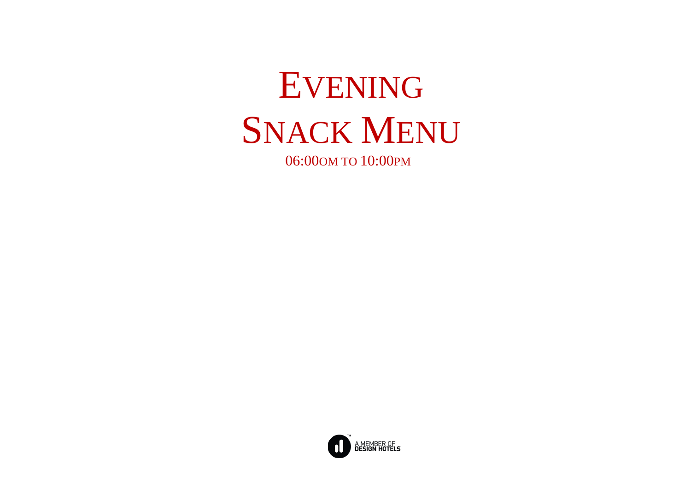

06:00OM TO 10:00PM